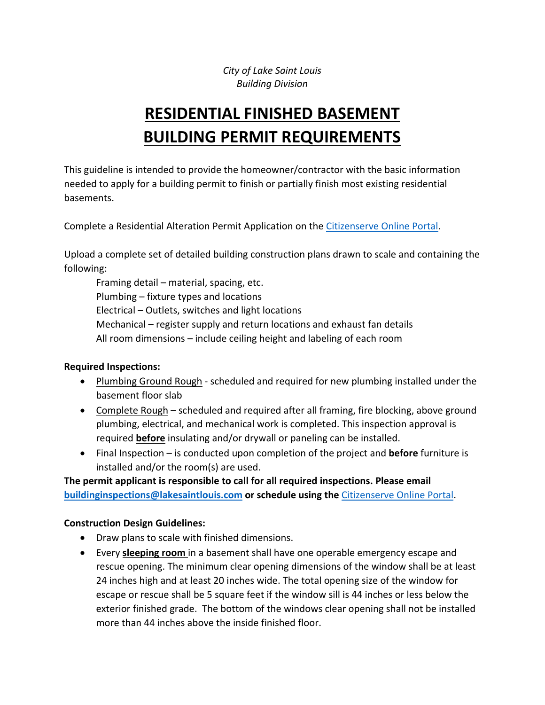*City of Lake Saint Louis Building Division* 

# **RESIDENTIAL FINISHED BASEMENT BUILDING PERMIT REQUIREMENTS**

This guideline is intended to provide the homeowner/contractor with the basic information needed to apply for a building permit to finish or partially finish most existing residential basements.

Complete a Residential Alteration Permit Application on the Citizenserve Online Portal.

Upload a complete set of detailed building construction plans drawn to scale and containing the following:

Framing detail – material, spacing, etc. Plumbing – fixture types and locations Electrical – Outlets, switches and light locations Mechanical – register supply and return locations and exhaust fan details All room dimensions – include ceiling height and labeling of each room

#### **Required Inspections:**

- Plumbing Ground Rough scheduled and required for new plumbing installed under the basement floor slab
- Complete Rough scheduled and required after all framing, fire blocking, above ground plumbing, electrical, and mechanical work is completed. This inspection approval is required **before** insulating and/or drywall or paneling can be installed.
- Final Inspection is conducted upon completion of the project and **before** furniture is installed and/or the room(s) are used.

**The permit applicant is responsible to call for all required inspections. Please email buildinginspections@lakesaintlouis.com or schedule using the** Citizenserve Online Portal.

#### **Construction Design Guidelines:**

- Draw plans to scale with finished dimensions.
- Every **sleeping room** in a basement shall have one operable emergency escape and rescue opening. The minimum clear opening dimensions of the window shall be at least 24 inches high and at least 20 inches wide. The total opening size of the window for escape or rescue shall be 5 square feet if the window sill is 44 inches or less below the exterior finished grade. The bottom of the windows clear opening shall not be installed more than 44 inches above the inside finished floor.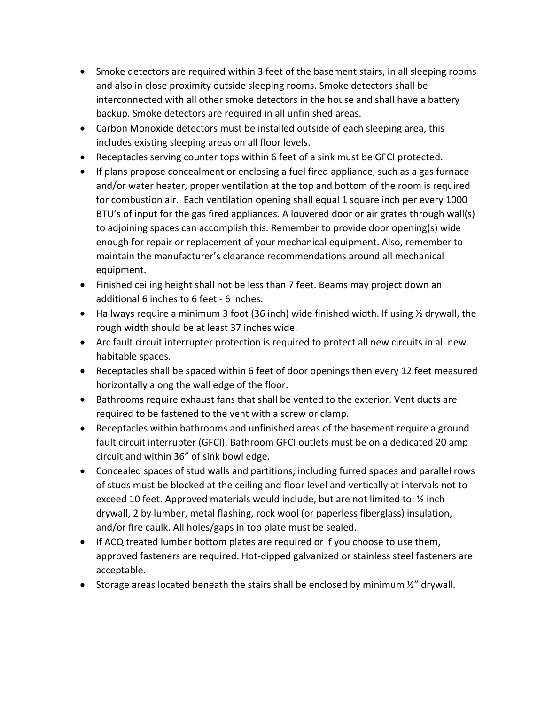- Smoke detectors are required within 3 feet of the basement stairs, in all sleeping rooms and also in close proximity outside sleeping rooms. Smoke detectors shall be interconnected with all other smoke detectors in the house and shall have a battery backup. Smoke detectors are required in all unfinished areas.
- Carbon Monoxide detectors must be installed outside of each sleeping area, this includes existing sleeping areas on all floor levels.
- Receptacles serving counter tops within 6 feet of a sink must be GFCI protected.
- If plans propose concealment or enclosing a fuel fired appliance, such as a gas furnace and/or water heater, proper ventilation at the top and bottom of the room is required for combustion air. Each ventilation opening shall equal 1 square inch per every 1000 BTU's of input for the gas fired appliances. A louvered door or air grates through wall(s) to adjoining spaces can accomplish this. Remember to provide door opening(s) wide enough for repair or replacement of your mechanical equipment. Also, remember to maintain the manufacturer's clearance recommendations around all mechanical equipment.
- Finished ceiling height shall not be less than 7 feet. Beams may project down an additional 6 inches to 6 feet ‐ 6 inches.
- Hallways require a minimum 3 foot (36 inch) wide finished width. If using ½ drywall, the rough width should be at least 37 inches wide.
- Arc fault circuit interrupter protection is required to protect all new circuits in all new habitable spaces.
- Receptacles shall be spaced within 6 feet of door openings then every 12 feet measured horizontally along the wall edge of the floor.
- Bathrooms require exhaust fans that shall be vented to the exterior. Vent ducts are required to be fastened to the vent with a screw or clamp.
- Receptacles within bathrooms and unfinished areas of the basement require a ground fault circuit interrupter (GFCI). Bathroom GFCI outlets must be on a dedicated 20 amp circuit and within 36" of sink bowl edge.
- Concealed spaces of stud walls and partitions, including furred spaces and parallel rows of studs must be blocked at the ceiling and floor level and vertically at intervals not to exceed 10 feet. Approved materials would include, but are not limited to: ½ inch drywall, 2 by lumber, metal flashing, rock wool (or paperless fiberglass) insulation, and/or fire caulk. All holes/gaps in top plate must be sealed.
- If ACQ treated lumber bottom plates are required or if you choose to use them, approved fasteners are required. Hot‐dipped galvanized or stainless steel fasteners are acceptable.
- Storage areas located beneath the stairs shall be enclosed by minimum  $\frac{y}{x}$  drywall.